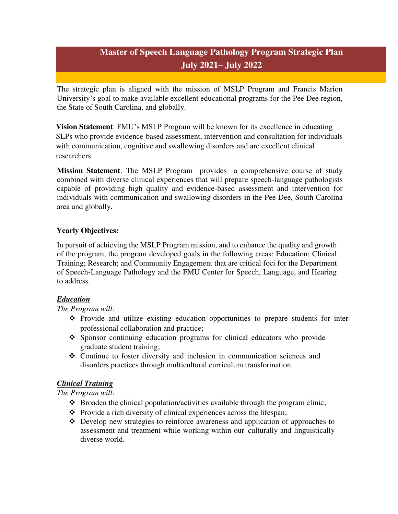# **Master of Speech Language Pathology Program Strategic Plan July 2021– July 2022**

The strategic plan is aligned with the mission of MSLP Program and Francis Marion University's goal to make available excellent educational programs for the Pee Dee region, the State of South Carolina, and globally.

**Vision Statement**: FMU's MSLP Program will be known for its excellence in educating SLPs who provide evidence-based assessment, intervention and consultation for individuals with communication, cognitive and swallowing disorders and are excellent clinical researchers.

**Mission Statement**: The MSLP Program provides a comprehensive course of study combined with diverse clinical experiences that will prepare speech-language pathologists capable of providing high quality and evidence-based assessment and intervention for individuals with communication and swallowing disorders in the Pee Dee, South Carolina area and globally.

## **Yearly Objectives:**

In pursuit of achieving the MSLP Program mission, and to enhance the quality and growth of the program, the program developed goals in the following areas: Education; Clinical Training; Research; and Community Engagement that are critical foci for the Department of Speech-Language Pathology and the FMU Center for Speech, Language, and Hearing to address.

#### *Education*

*The Program will:* 

- Provide and utilize existing education opportunities to prepare students for interprofessional collaboration and practice;
- Sponsor continuing education programs for clinical educators who provide graduate student training;
- Continue to foster diversity and inclusion in communication sciences and disorders practices through multicultural curriculum transformation.

#### *Clinical Training*

*The Program will:* 

- $\triangle$  Broaden the clinical population/activities available through the program clinic;
- $\triangle$  Provide a rich diversity of clinical experiences across the lifespan;
- Develop new strategies to reinforce awareness and application of approaches to assessment and treatment while working within our culturally and linguistically diverse world.